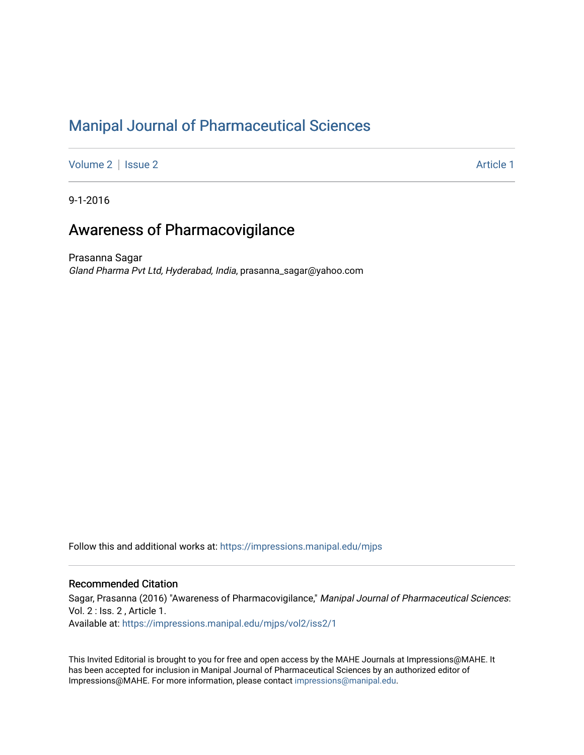# [Manipal Journal of Pharmaceutical Sciences](https://impressions.manipal.edu/mjps)

[Volume 2](https://impressions.manipal.edu/mjps/vol2) | [Issue 2](https://impressions.manipal.edu/mjps/vol2/iss2) Article 1

9-1-2016

# Awareness of Pharmacovigilance

Prasanna Sagar Gland Pharma Pvt Ltd, Hyderabad, India, prasanna\_sagar@yahoo.com

Follow this and additional works at: [https://impressions.manipal.edu/mjps](https://impressions.manipal.edu/mjps?utm_source=impressions.manipal.edu%2Fmjps%2Fvol2%2Fiss2%2F1&utm_medium=PDF&utm_campaign=PDFCoverPages)

#### Recommended Citation

Sagar, Prasanna (2016) "Awareness of Pharmacovigilance," Manipal Journal of Pharmaceutical Sciences: Vol. 2 : Iss. 2 , Article 1. Available at: [https://impressions.manipal.edu/mjps/vol2/iss2/1](https://impressions.manipal.edu/mjps/vol2/iss2/1?utm_source=impressions.manipal.edu%2Fmjps%2Fvol2%2Fiss2%2F1&utm_medium=PDF&utm_campaign=PDFCoverPages)

This Invited Editorial is brought to you for free and open access by the MAHE Journals at Impressions@MAHE. It has been accepted for inclusion in Manipal Journal of Pharmaceutical Sciences by an authorized editor of Impressions@MAHE. For more information, please contact [impressions@manipal.edu](mailto:impressions@manipal.edu).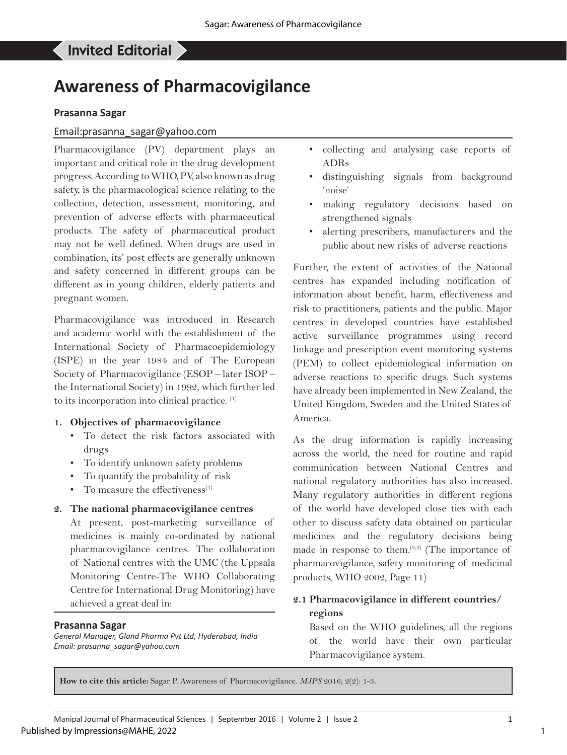# Invited Editorial

# **Awareness of Pharmacovigilance**

#### **Prasanna Sagar**

#### Email:prasanna\_sagar@yahoo.com

Pharmacovigilance (PV) department plays an important and critical role in the drug development progress. According to WHO, PV, also known as drug safety, is the pharmacological science relating to the collection, detection, assessment, monitoring, and prevention of adverse effects with pharmaceutical products. The safety of pharmaceutical product may not be well defined. When drugs are used in combination, its' post effects are generally unknown and safety concerned in different groups can be different as in young children, elderly patients and pregnant women.

Pharmacovigilance was introduced in Research and academic world with the establishment of the International Society of Pharmacoepidemiology (ISPE) in the year 1984 and of The European Society of Pharmacovigilance (ESOP – later ISOP – the International Society) in 1992, which further led to its incorporation into clinical practice. (1)

#### **1. Objectives of pharmacovigilance**

- To detect the risk factors associated with drugs
- To identify unknown safety problems
- To quantify the probability of risk
- To measure the effectiveness $^{(1)}$

#### **2. The national pharmacovigilance centres**

At present, post-marketing surveillance of medicines is mainly co-ordinated by national pharmacovigilance centres. The collaboration of National centres with the UMC (the Uppsala Monitoring Centre-The WHO Collaborating Centre for International Drug Monitoring) have achieved a great deal in:

#### **Prasanna Sagar**

*General Manager, Gland Pharma Pvt Ltd, Hyderabad, India Email: prasanna\_sagar@yahoo.com*

- collecting and analysing case reports of ADRs
- distinguishing signals from background 'noise'
- making regulatory decisions based on strengthened signals
- alerting prescribers, manufacturers and the public about new risks of adverse reactions

Further, the extent of activities of the National centres has expanded including notification of information about benefit, harm, effectiveness and risk to practitioners, patients and the public. Major centres in developed countries have established active surveillance programmes using record linkage and prescription event monitoring systems (PEM) to collect epidemiological information on adverse reactions to specific drugs. Such systems have already been implemented in New Zealand, the United Kingdom, Sweden and the United States of America.

As the drug information is rapidly increasing across the world, the need for routine and rapid communication between National Centres and national regulatory authorities has also increased. Many regulatory authorities in different regions of the world have developed close ties with each other to discuss safety data obtained on particular medicines and the regulatory decisions being made in response to them.<sup> $(2,3)$ </sup> (The importance of pharmacovigilance, safety monitoring of medicinal products, WHO 2002, Page 11)

# **2.1 Pharmacovigilance in different countries/ regions**

Based on the WHO guidelines, all the regions of the world have their own particular Pharmacovigilance system.

**How to cite this article:** Sagar P. Awareness of Pharmacovigilance. *MJPS* 2016; 2(2): 1-3.

1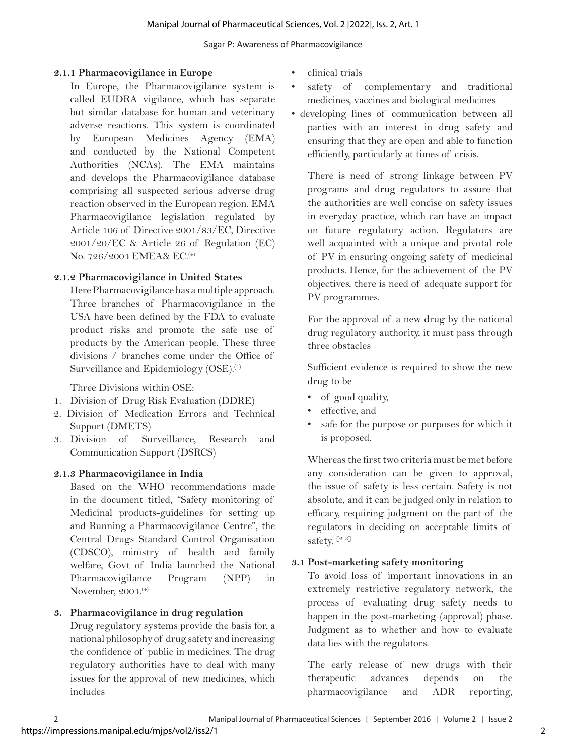Sagar P: Awareness of Pharmacovigilance

## **2.1.1 Pharmacovigilance in Europe**

In Europe, the Pharmacovigilance system is called EUDRA vigilance, which has separate but similar database for human and veterinary adverse reactions. This system is coordinated by European Medicines Agency (EMA) and conducted by the National Competent Authorities (NCAs). The EMA maintains and develops the Pharmacovigilance database comprising all suspected serious adverse drug reaction observed in the European region. EMA Pharmacovigilance legislation regulated by Article 106 of Directive 2001/83/EC, Directive 2001/20/EC & Article 26 of Regulation (EC) No. 726/2004 EMEA& EC.(4)

## **2.1.2 Pharmacovigilance in United States**

Here Pharmacovigilance has a multiple approach. Three branches of Pharmacovigilance in the USA have been defined by the FDA to evaluate product risks and promote the safe use of products by the American people. These three divisions / branches come under the Office of Surveillance and Epidemiology (OSE).<sup>(4)</sup>

Three Divisions within OSE:

- 1. Division of Drug Risk Evaluation (DDRE)
- 2. Division of Medication Errors and Technical Support (DMETS)
- 3. Division of Surveillance, Research and Communication Support (DSRCS)

# **2.1.3 Pharmacovigilance in India**

Based on the WHO recommendations made in the document titled, "Safety monitoring of Medicinal products-guidelines for setting up and Running a Pharmacovigilance Centre", the Central Drugs Standard Control Organisation (CDSCO), ministry of health and family welfare, Govt of India launched the National Pharmacovigilance Program (NPP) in November, 2004.(4)

# **3. Pharmacovigilance in drug regulation**

Drug regulatory systems provide the basis for, a national philosophy of drug safety and increasing the confidence of public in medicines. The drug regulatory authorities have to deal with many issues for the approval of new medicines, which includes

- clinical trials
- safety of complementary and traditional medicines, vaccines and biological medicines
- developing lines of communication between all parties with an interest in drug safety and ensuring that they are open and able to function efficiently, particularly at times of crisis.

There is need of strong linkage between PV programs and drug regulators to assure that the authorities are well concise on safety issues in everyday practice, which can have an impact on future regulatory action. Regulators are well acquainted with a unique and pivotal role of PV in ensuring ongoing safety of medicinal products. Hence, for the achievement of the PV objectives, there is need of adequate support for PV programmes.

For the approval of a new drug by the national drug regulatory authority, it must pass through three obstacles

Sufficient evidence is required to show the new drug to be

- of good quality,
- effective, and
- safe for the purpose or purposes for which it is proposed.

Whereas the first two criteria must be met before any consideration can be given to approval, the issue of safety is less certain. Safety is not absolute, and it can be judged only in relation to efficacy, requiring judgment on the part of the regulators in deciding on acceptable limits of safety.  $[2, 3]$ 

# **3.1 Post-marketing safety monitoring**

To avoid loss of important innovations in an extremely restrictive regulatory network, the process of evaluating drug safety needs to happen in the post-marketing (approval) phase. Judgment as to whether and how to evaluate data lies with the regulators.

The early release of new drugs with their therapeutic advances depends on the pharmacovigilance and ADR reporting,